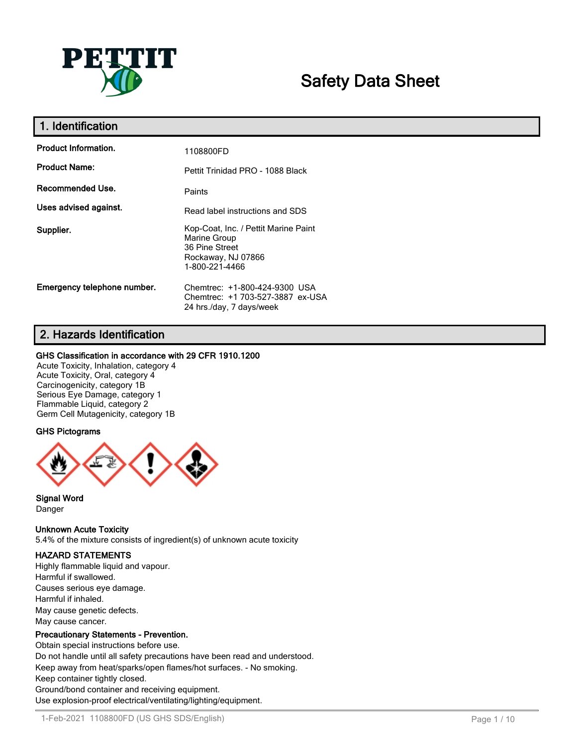

# **Safety Data Sheet**

| 1. Identification           |                                                                                                                |
|-----------------------------|----------------------------------------------------------------------------------------------------------------|
| <b>Product Information.</b> | 1108800FD                                                                                                      |
| <b>Product Name:</b>        | Pettit Trinidad PRO - 1088 Black                                                                               |
| Recommended Use.            | Paints                                                                                                         |
| Uses advised against.       | Read label instructions and SDS                                                                                |
| Supplier.                   | Kop-Coat, Inc. / Pettit Marine Paint<br>Marine Group<br>36 Pine Street<br>Rockaway, NJ 07866<br>1-800-221-4466 |
| Emergency telephone number. | Chemtrec: +1-800-424-9300 USA<br>Chemtrec: +1 703-527-3887 ex-USA<br>24 hrs./day, 7 days/week                  |

# **2. Hazards Identification**

## **GHS Classification in accordance with 29 CFR 1910.1200**

Acute Toxicity, Inhalation, category 4 Acute Toxicity, Oral, category 4 Carcinogenicity, category 1B Serious Eye Damage, category 1 Flammable Liquid, category 2 Germ Cell Mutagenicity, category 1B

# **GHS Pictograms**



**Signal Word** Danger

## **Unknown Acute Toxicity**

5.4% of the mixture consists of ingredient(s) of unknown acute toxicity

## **HAZARD STATEMENTS**

Highly flammable liquid and vapour. Harmful if swallowed. Causes serious eye damage. Harmful if inhaled. May cause genetic defects. May cause cancer.

## **Precautionary Statements - Prevention.**

Obtain special instructions before use. Do not handle until all safety precautions have been read and understood. Keep away from heat/sparks/open flames/hot surfaces. - No smoking. Keep container tightly closed. Ground/bond container and receiving equipment. Use explosion-proof electrical/ventilating/lighting/equipment.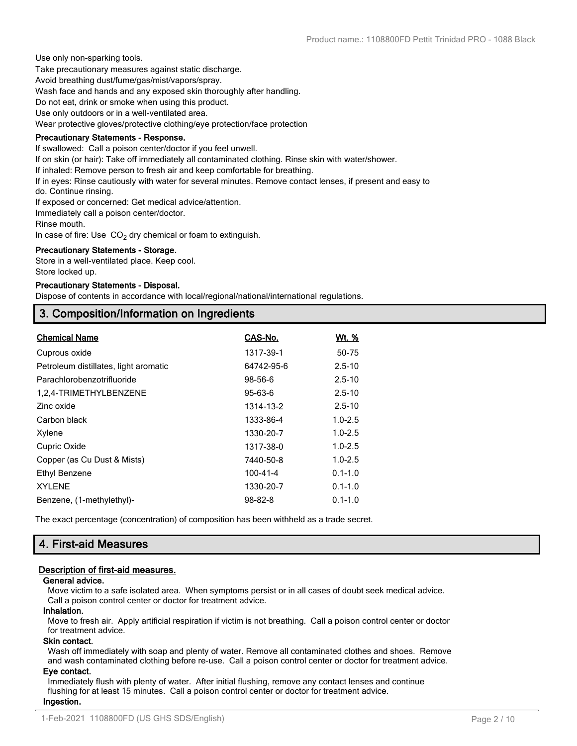Use only non-sparking tools.

Take precautionary measures against static discharge.

Avoid breathing dust/fume/gas/mist/vapors/spray.

Wash face and hands and any exposed skin thoroughly after handling.

Do not eat, drink or smoke when using this product.

Use only outdoors or in a well-ventilated area.

Wear protective gloves/protective clothing/eye protection/face protection

#### **Precautionary Statements - Response.**

If swallowed: Call a poison center/doctor if you feel unwell.

If on skin (or hair): Take off immediately all contaminated clothing. Rinse skin with water/shower.

If inhaled: Remove person to fresh air and keep comfortable for breathing.

If in eyes: Rinse cautiously with water for several minutes. Remove contact lenses, if present and easy to

do. Continue rinsing.

If exposed or concerned: Get medical advice/attention.

Immediately call a poison center/doctor.

Rinse mouth.

In case of fire: Use  $CO<sub>2</sub>$  dry chemical or foam to extinguish.

#### **Precautionary Statements - Storage.**

Store in a well-ventilated place. Keep cool. Store locked up.

#### **Precautionary Statements - Disposal.**

Dispose of contents in accordance with local/regional/national/international regulations.

# **3. Composition/Information on Ingredients**

| <b>Chemical Name</b>                  | CAS-No.       | <u>Wt. %</u> |
|---------------------------------------|---------------|--------------|
| Cuprous oxide                         | 1317-39-1     | 50-75        |
| Petroleum distillates, light aromatic | 64742-95-6    | $2.5 - 10$   |
| Parachlorobenzotrifluoride            | 98-56-6       | $2.5 - 10$   |
| 1,2,4-TRIMETHYLBENZENE                | 95-63-6       | $2.5 - 10$   |
| Zinc oxide                            | 1314-13-2     | $2.5 - 10$   |
| Carbon black                          | 1333-86-4     | $1.0 - 2.5$  |
| Xylene                                | 1330-20-7     | $1.0 - 2.5$  |
| Cupric Oxide                          | 1317-38-0     | $1.0 - 2.5$  |
| Copper (as Cu Dust & Mists)           | 7440-50-8     | $1.0 - 2.5$  |
| Ethyl Benzene                         | 100-41-4      | $0.1 - 1.0$  |
| <b>XYLENE</b>                         | 1330-20-7     | $0.1 - 1.0$  |
| Benzene, (1-methylethyl)-             | $98 - 82 - 8$ | $0.1 - 1.0$  |

The exact percentage (concentration) of composition has been withheld as a trade secret.

# **4. First-aid Measures**

## **Description of first-aid measures.**

## **General advice.**

Move victim to a safe isolated area. When symptoms persist or in all cases of doubt seek medical advice. Call a poison control center or doctor for treatment advice.

## **Inhalation.**

Move to fresh air. Apply artificial respiration if victim is not breathing. Call a poison control center or doctor for treatment advice.

#### **Skin contact.**

Wash off immediately with soap and plenty of water. Remove all contaminated clothes and shoes. Remove and wash contaminated clothing before re-use. Call a poison control center or doctor for treatment advice.

## **Eye contact.**

Immediately flush with plenty of water. After initial flushing, remove any contact lenses and continue flushing for at least 15 minutes. Call a poison control center or doctor for treatment advice. **Ingestion.**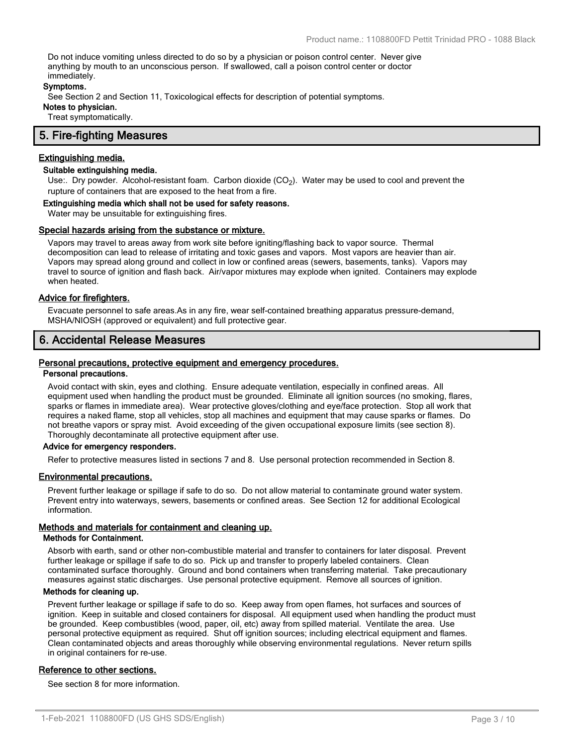Do not induce vomiting unless directed to do so by a physician or poison control center. Never give anything by mouth to an unconscious person. If swallowed, call a poison control center or doctor immediately.

#### **Symptoms.**

See Section 2 and Section 11, Toxicological effects for description of potential symptoms.

**Notes to physician.**

Treat symptomatically.

# **5. Fire-fighting Measures**

#### **Extinguishing media.**

## **Suitable extinguishing media.**

Use:. Dry powder. Alcohol-resistant foam. Carbon dioxide (CO<sub>2</sub>). Water may be used to cool and prevent the rupture of containers that are exposed to the heat from a fire.

#### **Extinguishing media which shall not be used for safety reasons.**

Water may be unsuitable for extinguishing fires.

#### **Special hazards arising from the substance or mixture.**

Vapors may travel to areas away from work site before igniting/flashing back to vapor source. Thermal decomposition can lead to release of irritating and toxic gases and vapors. Most vapors are heavier than air. Vapors may spread along ground and collect in low or confined areas (sewers, basements, tanks). Vapors may travel to source of ignition and flash back. Air/vapor mixtures may explode when ignited. Containers may explode when heated.

#### **Advice for firefighters.**

Evacuate personnel to safe areas.As in any fire, wear self-contained breathing apparatus pressure-demand, MSHA/NIOSH (approved or equivalent) and full protective gear.

## **6. Accidental Release Measures**

#### **Personal precautions, protective equipment and emergency procedures.**

#### **Personal precautions.**

Avoid contact with skin, eyes and clothing. Ensure adequate ventilation, especially in confined areas. All equipment used when handling the product must be grounded. Eliminate all ignition sources (no smoking, flares, sparks or flames in immediate area). Wear protective gloves/clothing and eye/face protection. Stop all work that requires a naked flame, stop all vehicles, stop all machines and equipment that may cause sparks or flames. Do not breathe vapors or spray mist. Avoid exceeding of the given occupational exposure limits (see section 8). Thoroughly decontaminate all protective equipment after use.

#### **Advice for emergency responders.**

Refer to protective measures listed in sections 7 and 8. Use personal protection recommended in Section 8.

#### **Environmental precautions.**

Prevent further leakage or spillage if safe to do so. Do not allow material to contaminate ground water system. Prevent entry into waterways, sewers, basements or confined areas. See Section 12 for additional Ecological information.

## **Methods and materials for containment and cleaning up.**

#### **Methods for Containment.**

Absorb with earth, sand or other non-combustible material and transfer to containers for later disposal. Prevent further leakage or spillage if safe to do so. Pick up and transfer to properly labeled containers. Clean contaminated surface thoroughly. Ground and bond containers when transferring material. Take precautionary measures against static discharges. Use personal protective equipment. Remove all sources of ignition.

#### **Methods for cleaning up.**

Prevent further leakage or spillage if safe to do so. Keep away from open flames, hot surfaces and sources of ignition. Keep in suitable and closed containers for disposal. All equipment used when handling the product must be grounded. Keep combustibles (wood, paper, oil, etc) away from spilled material. Ventilate the area. Use personal protective equipment as required. Shut off ignition sources; including electrical equipment and flames. Clean contaminated objects and areas thoroughly while observing environmental regulations. Never return spills in original containers for re-use.

#### **Reference to other sections.**

See section 8 for more information.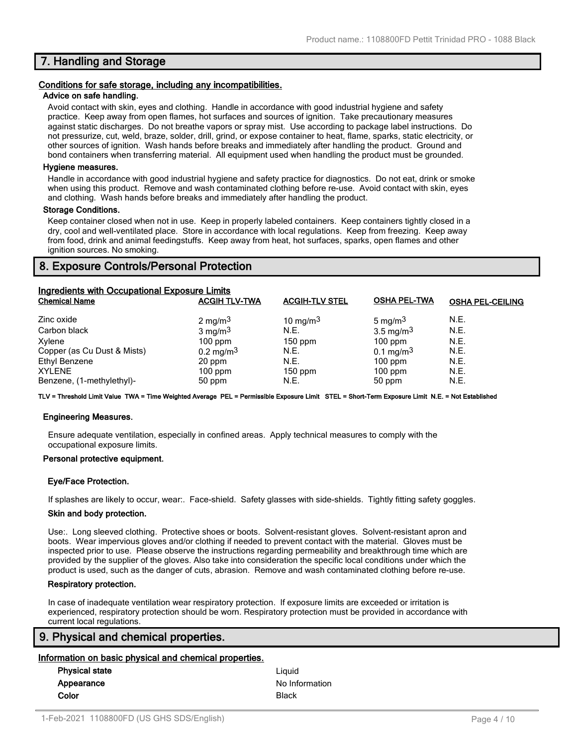# **7. Handling and Storage**

#### **Conditions for safe storage, including any incompatibilities.**

#### **Advice on safe handling.**

Avoid contact with skin, eyes and clothing. Handle in accordance with good industrial hygiene and safety practice. Keep away from open flames, hot surfaces and sources of ignition. Take precautionary measures against static discharges. Do not breathe vapors or spray mist. Use according to package label instructions. Do not pressurize, cut, weld, braze, solder, drill, grind, or expose container to heat, flame, sparks, static electricity, or other sources of ignition. Wash hands before breaks and immediately after handling the product. Ground and bond containers when transferring material. All equipment used when handling the product must be grounded.

#### **Hygiene measures.**

Handle in accordance with good industrial hygiene and safety practice for diagnostics. Do not eat, drink or smoke when using this product. Remove and wash contaminated clothing before re-use. Avoid contact with skin, eyes and clothing. Wash hands before breaks and immediately after handling the product.

#### **Storage Conditions.**

Keep container closed when not in use. Keep in properly labeled containers. Keep containers tightly closed in a dry, cool and well-ventilated place. Store in accordance with local regulations. Keep from freezing. Keep away from food, drink and animal feedingstuffs. Keep away from heat, hot surfaces, sparks, open flames and other ignition sources. No smoking.

# **8. Exposure Controls/Personal Protection**

| Ingredients with Occupational Exposure Limits |                         |                       |                         |                         |
|-----------------------------------------------|-------------------------|-----------------------|-------------------------|-------------------------|
| <b>Chemical Name</b>                          | <b>ACGIH TLV-TWA</b>    | <b>ACGIH-TLV STEL</b> | <b>OSHA PEL-TWA</b>     | <b>OSHA PEL-CEILING</b> |
| Zinc oxide                                    | 2 mg/m <sup>3</sup>     | 10 mg/m $3$           | 5 mg/m <sup>3</sup>     | N.E.                    |
| Carbon black                                  | $3 \text{ mg/m}^3$      | N.E.                  | $3.5 \text{ mg/m}^3$    | N.E.                    |
| Xylene                                        | $100$ ppm               | $150$ ppm             | $100$ ppm               | N.E.                    |
| Copper (as Cu Dust & Mists)                   | $0.2 \,\mathrm{mg/m^3}$ | N.E.                  | $0.1 \,\mathrm{mg/m^3}$ | N.E.                    |
| <b>Ethyl Benzene</b>                          | 20 ppm                  | N.E.                  | $100$ ppm               | N.E.                    |
| <b>XYLENE</b>                                 | $100$ ppm               | $150$ ppm             | $100$ ppm               | N.E.                    |
| Benzene, (1-methylethyl)-                     | 50 ppm                  | N.E.                  | 50 ppm                  | N.E.                    |

**TLV = Threshold Limit Value TWA = Time Weighted Average PEL = Permissible Exposure Limit STEL = Short-Term Exposure Limit N.E. = Not Established**

#### **Engineering Measures.**

Ensure adequate ventilation, especially in confined areas. Apply technical measures to comply with the occupational exposure limits.

#### **Personal protective equipment.**

#### **Eye/Face Protection.**

If splashes are likely to occur, wear:. Face-shield. Safety glasses with side-shields. Tightly fitting safety goggles.

#### **Skin and body protection.**

Use:. Long sleeved clothing. Protective shoes or boots. Solvent-resistant gloves. Solvent-resistant apron and boots. Wear impervious gloves and/or clothing if needed to prevent contact with the material. Gloves must be inspected prior to use. Please observe the instructions regarding permeability and breakthrough time which are provided by the supplier of the gloves. Also take into consideration the specific local conditions under which the product is used, such as the danger of cuts, abrasion. Remove and wash contaminated clothing before re-use.

#### **Respiratory protection.**

In case of inadequate ventilation wear respiratory protection. If exposure limits are exceeded or irritation is experienced, respiratory protection should be worn. Respiratory protection must be provided in accordance with current local regulations.

# **9. Physical and chemical properties.**

#### **Information on basic physical and chemical properties.**

| <b>Physical state</b> | Liauid         |
|-----------------------|----------------|
| Appearance            | No Information |
| Color                 | <b>Black</b>   |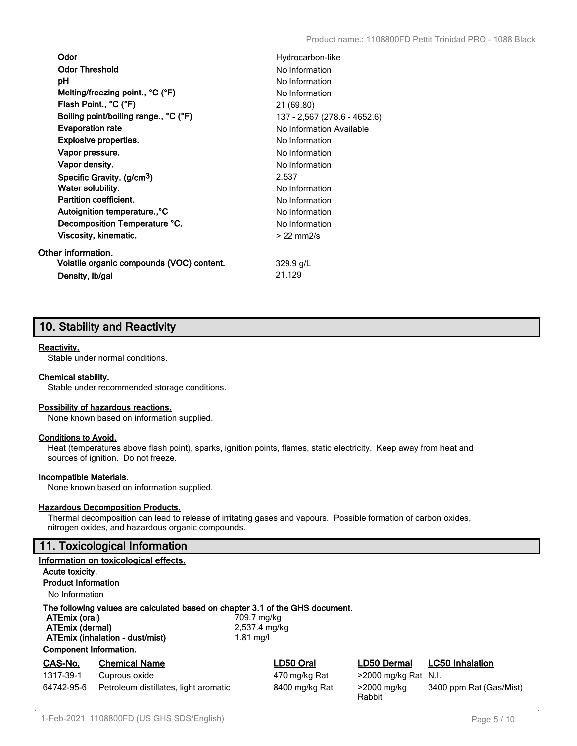| Odor                                      | Hydrocarbon-like             |
|-------------------------------------------|------------------------------|
| <b>Odor Threshold</b>                     | No Information               |
| рH                                        | No Information               |
| Melting/freezing point., °C (°F)          | No Information               |
| Flash Point., °C (°F)                     | 21 (69.80)                   |
| Boiling point/boiling range., °C (°F)     | 137 - 2,567 (278.6 - 4652.6) |
| <b>Evaporation rate</b>                   | No Information Available     |
| <b>Explosive properties.</b>              | No Information               |
| Vapor pressure.                           | No Information               |
| Vapor density.                            | No Information               |
| Specific Gravity. (g/cm <sup>3</sup> )    | 2.537                        |
| Water solubility.                         | No Information               |
| Partition coefficient.                    | No Information               |
| Autoignition temperature., °C             | No Information               |
| Decomposition Temperature °C.             | No Information               |
| Viscosity, kinematic.                     | $>22$ mm $2/s$               |
| Other information.                        |                              |
| Volatile organic compounds (VOC) content. | $329.9$ g/L                  |
| Density, Ib/gal                           | 21.129                       |

# **10. Stability and Reactivity**

## **Reactivity.**

Stable under normal conditions.

#### **Chemical stability.**

Stable under recommended storage conditions.

#### **Possibility of hazardous reactions.**

None known based on information supplied.

#### **Conditions to Avoid.**

Heat (temperatures above flash point), sparks, ignition points, flames, static electricity. Keep away from heat and sources of ignition. Do not freeze.

#### **Incompatible Materials.**

None known based on information supplied.

#### **Hazardous Decomposition Products.**

Thermal decomposition can lead to release of irritating gases and vapours. Possible formation of carbon oxides, nitrogen oxides, and hazardous organic compounds.

# **11. Toxicological Information**

|                                                                   | Information on toxicological effects.                                                                            |                                             |                         |                         |
|-------------------------------------------------------------------|------------------------------------------------------------------------------------------------------------------|---------------------------------------------|-------------------------|-------------------------|
| Acute toxicity.                                                   |                                                                                                                  |                                             |                         |                         |
| <b>Product Information</b>                                        |                                                                                                                  |                                             |                         |                         |
| No Information                                                    |                                                                                                                  |                                             |                         |                         |
| ATEmix (oral)<br>ATEmix (dermal)<br><b>Component Information.</b> | The following values are calculated based on chapter 3.1 of the GHS document.<br>ATEmix (inhalation - dust/mist) | 709.7 mg/kg<br>2,537.4 mg/kg<br>$1.81$ mg/l |                         |                         |
| CAS-No.                                                           | <b>Chemical Name</b>                                                                                             | LD50 Oral                                   | LD50 Dermal             | <b>LC50 Inhalation</b>  |
| 1317-39-1                                                         | Cuprous oxide                                                                                                    | 470 mg/kg Rat                               | $>$ 2000 mg/kg Rat N.I. |                         |
| 64742-95-6                                                        | Petroleum distillates, light aromatic                                                                            | 8400 mg/kg Rat                              | >2000 mg/kg<br>Rabbit   | 3400 ppm Rat (Gas/Mist) |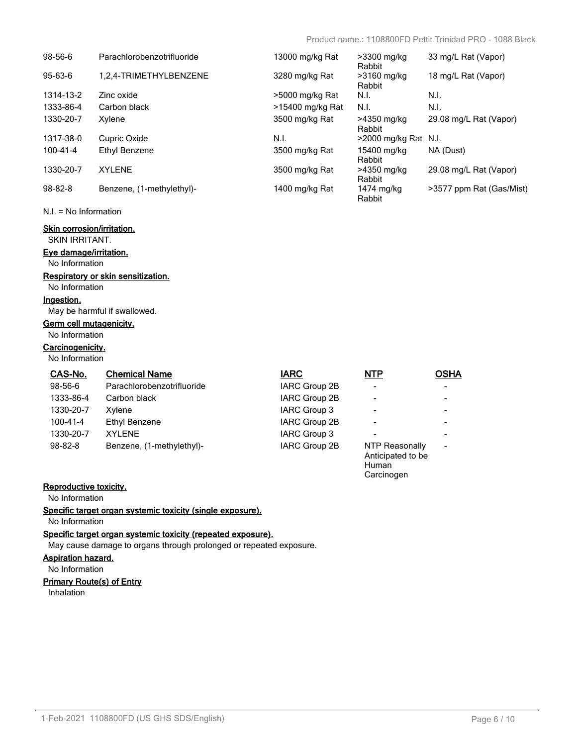Carcinogen

| 98-56-6        | Parachlorobenzotrifluoride | 13000 mg/kg Rat  | >3300 mg/kg<br>Rabbit   | 33 mg/L Rat (Vapor)      |
|----------------|----------------------------|------------------|-------------------------|--------------------------|
| 95-63-6        | 1,2,4-TRIMETHYLBENZENE     | 3280 mg/kg Rat   | $>3160$ mg/kg<br>Rabbit | 18 mg/L Rat (Vapor)      |
| 1314-13-2      | Zinc oxide                 | >5000 mg/kg Rat  | N.I.                    | N.I.                     |
| 1333-86-4      | Carbon black               | >15400 mg/kg Rat | N.I.                    | N.I.                     |
| 1330-20-7      | Xylene                     | 3500 mg/kg Rat   | >4350 mg/kg<br>Rabbit   | 29.08 mg/L Rat (Vapor)   |
| 1317-38-0      | Cupric Oxide               | N.I.             | $>$ 2000 mg/kg Rat N.I. |                          |
| $100 - 41 - 4$ | Ethyl Benzene              | 3500 mg/kg Rat   | 15400 mg/kg<br>Rabbit   | NA (Dust)                |
| 1330-20-7      | <b>XYLENE</b>              | 3500 mg/kg Rat   | >4350 mg/kg<br>Rabbit   | 29.08 mg/L Rat (Vapor)   |
| $98 - 82 - 8$  | Benzene, (1-methylethyl)-  | 1400 mg/kg Rat   | 1474 mg/kg<br>Rabbit    | >3577 ppm Rat (Gas/Mist) |

N.I. = No Information

# **Skin corrosion/irritation.**

SKIN IRRITANT.

# **Eye damage/irritation.**

No Information

# **Respiratory or skin sensitization.**

No Information

#### **Ingestion.**

May be harmful if swallowed.

# **Germ cell mutagenicity.**

No Information

# **Carcinogenicity.**

No Information

| CAS-No.       | <b>Chemical Name</b>       | <b>IARC</b>   | <b>NTP</b>                                          | <b>OSHA</b>              |
|---------------|----------------------------|---------------|-----------------------------------------------------|--------------------------|
| 98-56-6       | Parachlorobenzotrifluoride | IARC Group 2B | $\blacksquare$                                      |                          |
| 1333-86-4     | Carbon black               | IARC Group 2B | $\blacksquare$                                      |                          |
| 1330-20-7     | Xvlene                     | IARC Group 3  | $\overline{\phantom{a}}$                            |                          |
| 100-41-4      | Ethyl Benzene              | IARC Group 2B | $\overline{\phantom{a}}$                            |                          |
| 1330-20-7     | <b>XYLENE</b>              | IARC Group 3  | $\blacksquare$                                      |                          |
| $98 - 82 - 8$ | Benzene, (1-methylethyl)-  | IARC Group 2B | NTP Reasonally<br>Anticipated to be<br><b>Human</b> | $\overline{\phantom{a}}$ |

# **Reproductive toxicity.**

No Information

**Specific target organ systemic toxicity (single exposure).**

# No Information

**Specific target organ systemic toxicity (repeated exposure).**

May cause damage to organs through prolonged or repeated exposure.

#### **Aspiration hazard.**

No Information

#### **Primary Route(s) of Entry**

Inhalation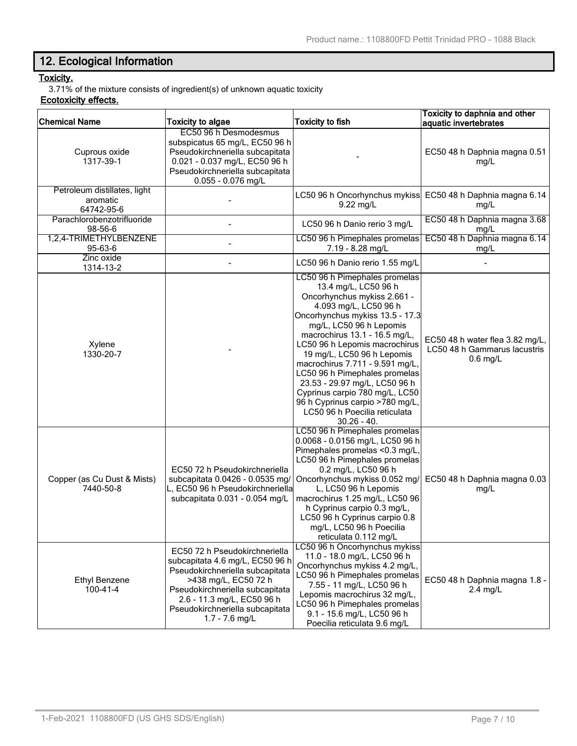# **12. Ecological Information**

# **Toxicity.**

3.71% of the mixture consists of ingredient(s) of unknown aquatic toxicity

# **Ecotoxicity effects.**

| <b>Chemical Name</b>                                   | <b>Toxicity to algae</b>                                                                                                                                                                                                                            | <b>Toxicity to fish</b>                                                                                                                                                                                                                                                                                                                                                                                                                                                                                 | Toxicity to daphnia and other<br>aquatic invertebrates                        |
|--------------------------------------------------------|-----------------------------------------------------------------------------------------------------------------------------------------------------------------------------------------------------------------------------------------------------|---------------------------------------------------------------------------------------------------------------------------------------------------------------------------------------------------------------------------------------------------------------------------------------------------------------------------------------------------------------------------------------------------------------------------------------------------------------------------------------------------------|-------------------------------------------------------------------------------|
| Cuprous oxide<br>1317-39-1                             | EC50 96 h Desmodesmus<br>subspicatus 65 mg/L, EC50 96 h<br>Pseudokirchneriella subcapitata<br>0.021 - 0.037 mg/L, EC50 96 h<br>Pseudokirchneriella subcapitata<br>0.055 - 0.076 mg/L                                                                |                                                                                                                                                                                                                                                                                                                                                                                                                                                                                                         | EC50 48 h Daphnia magna 0.51<br>mg/L                                          |
| Petroleum distillates, light<br>aromatic<br>64742-95-6 |                                                                                                                                                                                                                                                     | LC50 96 h Oncorhynchus mykiss<br>9.22 mg/L                                                                                                                                                                                                                                                                                                                                                                                                                                                              | EC50 48 h Daphnia magna 6.14<br>mg/L                                          |
| Parachlorobenzotrifluoride<br>98-56-6                  |                                                                                                                                                                                                                                                     | LC50 96 h Danio rerio 3 mg/L                                                                                                                                                                                                                                                                                                                                                                                                                                                                            | EC50 48 h Daphnia magna 3.68<br>mg/L                                          |
| 1,2,4-TRIMETHYLBENZENE<br>95-63-6                      |                                                                                                                                                                                                                                                     | LC50 96 h Pimephales promelas<br>7.19 - 8.28 mg/L                                                                                                                                                                                                                                                                                                                                                                                                                                                       | EC50 48 h Daphnia magna 6.14<br>mg/L                                          |
| Zinc oxide<br>1314-13-2                                |                                                                                                                                                                                                                                                     | LC50 96 h Danio rerio 1.55 mg/L                                                                                                                                                                                                                                                                                                                                                                                                                                                                         |                                                                               |
| Xylene<br>1330-20-7                                    |                                                                                                                                                                                                                                                     | LC50 96 h Pimephales promelas<br>13.4 mg/L, LC50 96 h<br>Oncorhynchus mykiss 2.661 -<br>4.093 mg/L, LC50 96 h<br>Oncorhynchus mykiss 13.5 - 17.3<br>mg/L, LC50 96 h Lepomis<br>macrochirus 13.1 - 16.5 mg/L,<br>LC50 96 h Lepomis macrochirus<br>19 mg/L, LC50 96 h Lepomis<br>macrochirus 7.711 - 9.591 mg/L,<br>LC50 96 h Pimephales promelas<br>23.53 - 29.97 mg/L, LC50 96 h<br>Cyprinus carpio 780 mg/L, LC50<br>96 h Cyprinus carpio >780 mg/L,<br>LC50 96 h Poecilia reticulata<br>$30.26 - 40.$ | EC50 48 h water flea 3.82 mg/L,<br>LC50 48 h Gammarus lacustris<br>$0.6$ mg/L |
| Copper (as Cu Dust & Mists)<br>7440-50-8               | EC50 72 h Pseudokirchneriella<br>subcapitata 0.0426 - 0.0535 mg/<br>L, EC50 96 h Pseudokirchneriella<br>subcapitata 0.031 - 0.054 mg/L                                                                                                              | LC50 96 h Pimephales promelas<br>0.0068 - 0.0156 mg/L, LC50 96 h<br>Pimephales promelas <0.3 mg/L,<br>LC50 96 h Pimephales promelas<br>0.2 mg/L, LC50 96 h<br>Oncorhynchus mykiss 0.052 mg/<br>L, LC50 96 h Lepomis<br>macrochirus 1.25 mg/L, LC50 96<br>h Cyprinus carpio 0.3 mg/L,<br>LC50 96 h Cyprinus carpio 0.8<br>mg/L, LC50 96 h Poecilia<br>reticulata 0.112 mg/L                                                                                                                              | EC50 48 h Daphnia magna 0.03<br>mg/L                                          |
| <b>Ethyl Benzene</b><br>$100 - 41 - 4$                 | EC50 72 h Pseudokirchneriella<br>subcapitata 4.6 mg/L, EC50 96 h<br>Pseudokirchneriella subcapitata<br>>438 mg/L, EC50 72 h<br>Pseudokirchneriella subcapitata<br>2.6 - 11.3 mg/L, EC50 96 h<br>Pseudokirchneriella subcapitata<br>$1.7 - 7.6$ mg/L | LC50 96 h Oncorhynchus mykiss<br>11.0 - 18.0 mg/L, LC50 96 h<br>Oncorhynchus mykiss 4.2 mg/L,<br>LC50 96 h Pimephales promelas<br>7.55 - 11 mg/L, LC50 96 h<br>Lepomis macrochirus 32 mg/L,<br>LC50 96 h Pimephales promelas<br>9.1 - 15.6 mg/L, LC50 96 h<br>Poecilia reticulata 9.6 mg/L                                                                                                                                                                                                              | EC50 48 h Daphnia magna 1.8 -<br>$2.4$ mg/L                                   |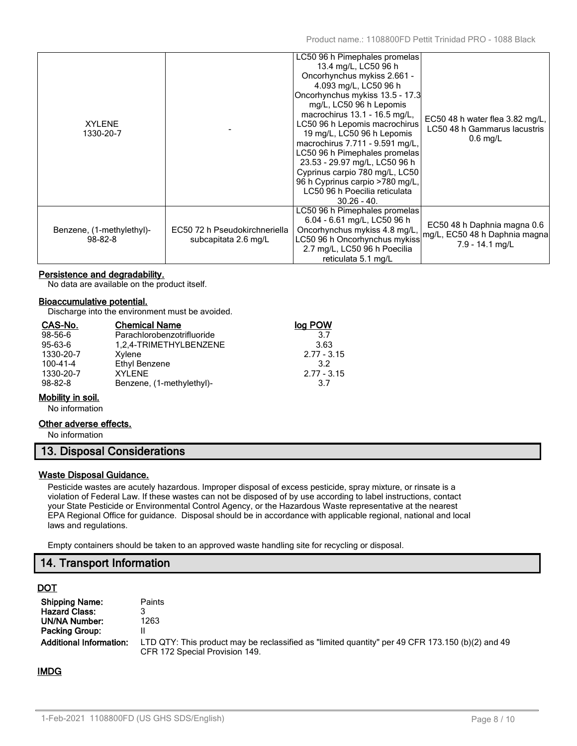| <b>XYLENE</b><br>1330-20-7                 |                                                       | LC50 96 h Pimephales promelas<br>13.4 mg/L, LC50 96 h<br>Oncorhynchus mykiss 2.661 -<br>4.093 mg/L, LC50 96 h<br>Oncorhynchus mykiss 13.5 - 17.3<br>mg/L, LC50 96 h Lepomis<br>macrochirus 13.1 - 16.5 mg/L,<br>LC50 96 h Lepomis macrochirus<br>19 mg/L, LC50 96 h Lepomis<br>macrochirus 7.711 - 9.591 mg/L,<br>LC50 96 h Pimephales promelas<br>23.53 - 29.97 mg/L, LC50 96 h<br>Cyprinus carpio 780 mg/L, LC50<br>96 h Cyprinus carpio >780 mg/L,<br>LC50 96 h Poecilia reticulata<br>$30.26 - 40.$ | EC50 48 h water flea 3.82 mg/L,<br>LC50 48 h Gammarus lacustris<br>$0.6$ mg/L   |
|--------------------------------------------|-------------------------------------------------------|---------------------------------------------------------------------------------------------------------------------------------------------------------------------------------------------------------------------------------------------------------------------------------------------------------------------------------------------------------------------------------------------------------------------------------------------------------------------------------------------------------|---------------------------------------------------------------------------------|
| Benzene, (1-methylethyl)-<br>$98 - 82 - 8$ | EC50 72 h Pseudokirchneriella<br>subcapitata 2.6 mg/L | LC50 96 h Pimephales promelas<br>6.04 - 6.61 mg/L, LC50 96 h<br>Oncorhynchus mykiss 4.8 mg/L,<br>LC50 96 h Oncorhynchus mykiss<br>2.7 mg/L, LC50 96 h Poecilia<br>reticulata 5.1 mg/L                                                                                                                                                                                                                                                                                                                   | EC50 48 h Daphnia magna 0.6<br>mg/L, EC50 48 h Daphnia magna<br>7.9 - 14.1 mg/L |

## **Persistence and degradability.**

No data are available on the product itself.

#### **Bioaccumulative potential.**

Discharge into the environment must be avoided.

| CAS-No.       | <b>Chemical Name</b>       | log POW       |
|---------------|----------------------------|---------------|
| $98 - 56 - 6$ | Parachlorobenzotrifluoride | 3.7           |
| 95-63-6       | 1,2,4-TRIMETHYLBENZENE     | 3.63          |
| 1330-20-7     | Xylene                     | $2.77 - 3.15$ |
| 100-41-4      | Ethyl Benzene              | 32            |
| 1330-20-7     | <b>XYI FNF</b>             | $2.77 - 3.15$ |
| $98 - 82 - 8$ | Benzene, (1-methylethyl)-  | 3.7           |

## **Mobility in soil.**

No information

#### **Other adverse effects.**

No information

# **13. Disposal Considerations**

#### **Waste Disposal Guidance.**

Pesticide wastes are acutely hazardous. Improper disposal of excess pesticide, spray mixture, or rinsate is a violation of Federal Law. If these wastes can not be disposed of by use according to label instructions, contact your State Pesticide or Environmental Control Agency, or the Hazardous Waste representative at the nearest EPA Regional Office for guidance. Disposal should be in accordance with applicable regional, national and local laws and regulations.

Empty containers should be taken to an approved waste handling site for recycling or disposal.

# **14. Transport Information**

## **DOT**

| <b>Shipping Name:</b>          | <b>Paints</b>                                                                                                                      |
|--------------------------------|------------------------------------------------------------------------------------------------------------------------------------|
| <b>Hazard Class:</b>           |                                                                                                                                    |
| <b>UN/NA Number:</b>           | 1263                                                                                                                               |
| Packing Group:                 |                                                                                                                                    |
| <b>Additional Information:</b> | LTD QTY: This product may be reclassified as "limited quantity" per 49 CFR 173.150 (b)(2) and 49<br>CFR 172 Special Provision 149. |

## **IMDG**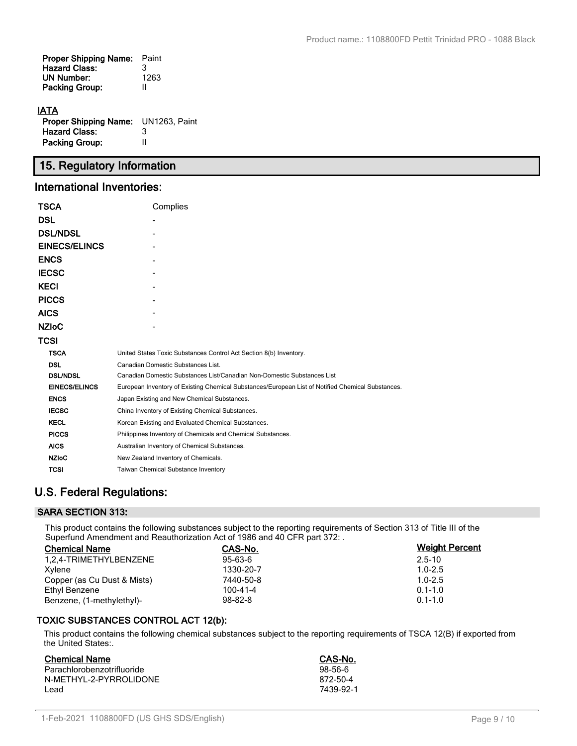| <b>Proper Shipping Name:</b> | Paint |
|------------------------------|-------|
| <b>Hazard Class:</b>         | 3     |
| <b>UN Number:</b>            | 1263  |
| <b>Packing Group:</b>        | Ш     |
|                              |       |

# **IATA**

| <b>Proper Shipping Name:</b> UN1263, Paint |   |
|--------------------------------------------|---|
| <b>Hazard Class:</b>                       | 3 |
| <b>Packing Group:</b>                      | Ш |

# **15. Regulatory Information**

# **International Inventories:**

| TSCA                 | Complies                                                                                          |  |  |  |
|----------------------|---------------------------------------------------------------------------------------------------|--|--|--|
| DSL                  |                                                                                                   |  |  |  |
| <b>DSL/NDSL</b>      |                                                                                                   |  |  |  |
| <b>EINECS/ELINCS</b> |                                                                                                   |  |  |  |
| <b>ENCS</b>          |                                                                                                   |  |  |  |
| <b>IECSC</b>         |                                                                                                   |  |  |  |
| <b>KECI</b>          |                                                                                                   |  |  |  |
| <b>PICCS</b>         |                                                                                                   |  |  |  |
| AICS                 |                                                                                                   |  |  |  |
| <b>NZIoC</b>         |                                                                                                   |  |  |  |
| TCSI                 |                                                                                                   |  |  |  |
| <b>TSCA</b>          | United States Toxic Substances Control Act Section 8(b) Inventory.                                |  |  |  |
| <b>DSL</b>           | Canadian Domestic Substances List.                                                                |  |  |  |
| <b>DSL/NDSL</b>      | Canadian Domestic Substances List/Canadian Non-Domestic Substances List                           |  |  |  |
| <b>EINECS/ELINCS</b> | European Inventory of Existing Chemical Substances/European List of Notified Chemical Substances. |  |  |  |
| <b>ENCS</b>          | Japan Existing and New Chemical Substances.                                                       |  |  |  |
| <b>IECSC</b>         | China Inventory of Existing Chemical Substances.                                                  |  |  |  |
| <b>KECL</b>          | Korean Existing and Evaluated Chemical Substances.                                                |  |  |  |
| <b>PICCS</b>         | Philippines Inventory of Chemicals and Chemical Substances.                                       |  |  |  |
| <b>AICS</b>          | Australian Inventory of Chemical Substances.                                                      |  |  |  |
| <b>NZIoC</b>         | New Zealand Inventory of Chemicals.                                                               |  |  |  |
| TCSI                 | <b>Taiwan Chemical Substance Inventory</b>                                                        |  |  |  |

# **U.S. Federal Regulations:**

# **SARA SECTION 313:**

This product contains the following substances subject to the reporting requirements of Section 313 of Title III of the Superfund Amendment and Reauthorization Act of 1986 and 40 CFR part 372: .

| <b>Chemical Name</b>        | CAS-No.       | <b>Weight Percent</b> |
|-----------------------------|---------------|-----------------------|
| 1.2.4-TRIMETHYLBENZENE      | $95 - 63 - 6$ | $2.5 - 10$            |
| Xvlene                      | 1330-20-7     | $1.0 - 2.5$           |
| Copper (as Cu Dust & Mists) | 7440-50-8     | $1.0 - 2.5$           |
| Ethyl Benzene               | 100-41-4      | $0.1 - 1.0$           |
| Benzene, (1-methylethyl)-   | $98 - 82 - 8$ | $0.1 - 1.0$           |

# **TOXIC SUBSTANCES CONTROL ACT 12(b):**

This product contains the following chemical substances subject to the reporting requirements of TSCA 12(B) if exported from the United States:.

| <b>Chemical Name</b>       | CAS-No.   |
|----------------------------|-----------|
| Parachlorobenzotrifluoride | $98-56-6$ |
| N-METHYL-2-PYRROLIDONE     | 872-50-4  |
| l ead                      | 7439-92-1 |